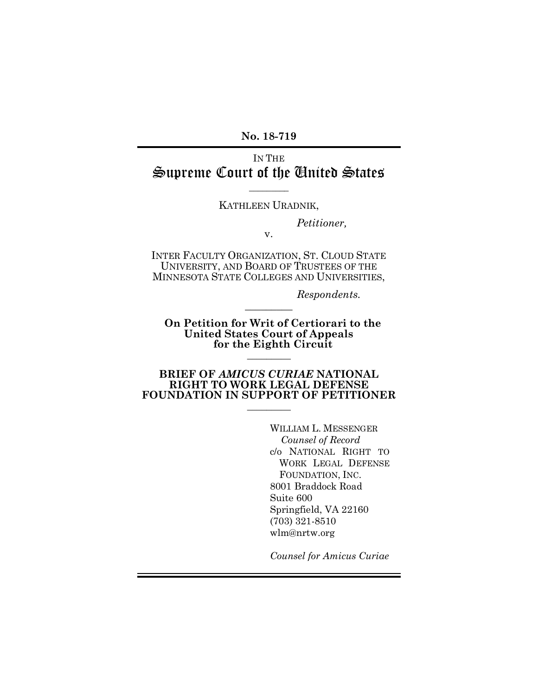**No. 18-719**

# IN THE Supreme Court of the United States

#### KATHLEEN URADNIK,

 $\overline{\phantom{a}}$ 

*Petitioner,*

v.

INTER FACULTY ORGANIZATION, ST. CLOUD STATE UNIVERSITY, AND BOARD OF TRUSTEES OF THE MINNESOTA STATE COLLEGES AND UNIVERSITIES,

 $\frac{1}{2}$ 

*Respondents.*

**On Petition for Writ of Certiorari to the United States Court of Appeals for the Eighth Circuit**  $\frac{1}{2}$ 

#### **BRIEF OF** *AMICUS CURIAE* **NATIONAL RIGHT TO WORK LEGAL DEFENSE FOUNDATION IN SUPPORT OF PETITIONER**

 $\frac{1}{2}$ 

WILLIAM L. MESSENGER *Counsel of Record* c/o NATIONAL RIGHT TO WORK LEGAL DEFENSE FOUNDATION, INC. 8001 Braddock Road Suite 600 Springfield, VA 22160 (703) 321-8510 wlm@nrtw.org

*Counsel for Amicus Curiae*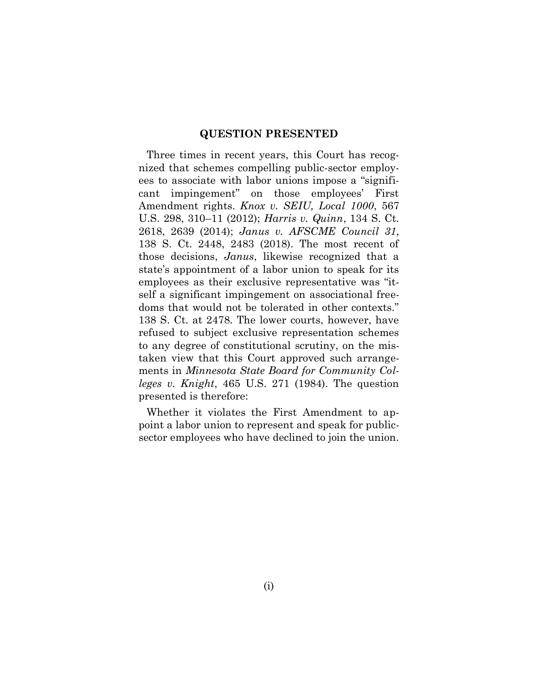#### **QUESTION PRESENTED**

Three times in recent years, this Court has recognized that schemes compelling public-sector employees to associate with labor unions impose a "significant impingement" on those employees' First Amendment rights. *Knox v. SEIU, Local 1000*, 567 U.S. 298, 310–11 (2012); *Harris v. Quinn*, 134 S. Ct. 2618, 2639 (2014); *Janus v. AFSCME Council 31*, 138 S. Ct. 2448, 2483 (2018). The most recent of those decisions, *Janus*, likewise recognized that a state's appointment of a labor union to speak for its employees as their exclusive representative was "itself a significant impingement on associational freedoms that would not be tolerated in other contexts." 138 S. Ct. at 2478. The lower courts, however, have refused to subject exclusive representation schemes to any degree of constitutional scrutiny, on the mistaken view that this Court approved such arrangements in *Minnesota State Board for Community Colleges v. Knight*, 465 U.S. 271 (1984). The question presented is therefore:

Whether it violates the First Amendment to appoint a labor union to represent and speak for publicsector employees who have declined to join the union.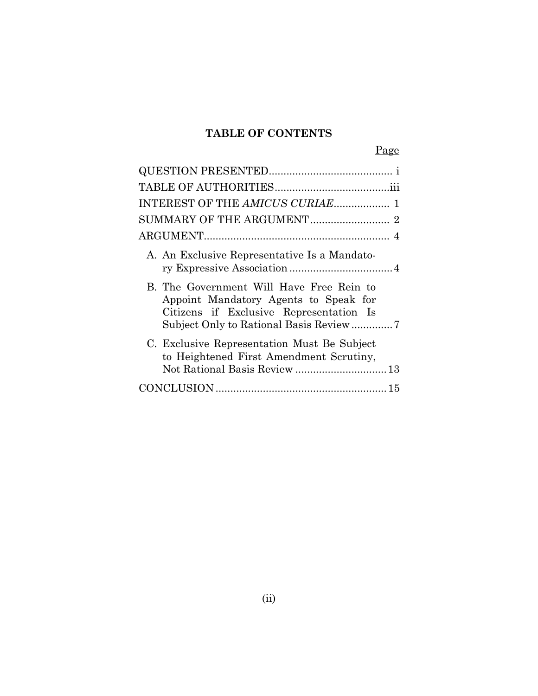### **TABLE OF CONTENTS**

Page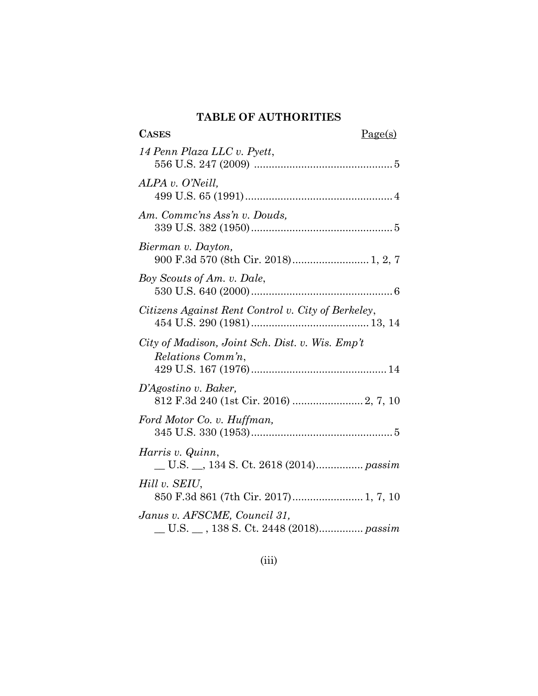### **TABLE OF AUTHORITIES**

| <b>CASES</b><br>Page(s)                                                 |
|-------------------------------------------------------------------------|
| 14 Penn Plaza LLC v. Pyett,                                             |
| ALPA v. O'Neill,                                                        |
| Am. Commc'ns Ass'n v. Douds,                                            |
| Bierman v. Dayton,<br>900 F.3d 570 (8th Cir. 2018) 1, 2, 7              |
| Boy Scouts of Am. v. Dale,                                              |
| Citizens Against Rent Control v. City of Berkeley,                      |
| City of Madison, Joint Sch. Dist. v. Wis. Emp't<br>Relations Comm'n,    |
| D'Agostino v. Baker,                                                    |
| Ford Motor Co. v. Huffman,                                              |
| Harris v. Quinn,<br>U.S. __, 134 S. Ct. 2618 (2014) passim              |
| Hill v. SEIU,                                                           |
| Janus v. AFSCME, Council 31,<br>_U.S. _ , 138 S. Ct. 2448 (2018) passim |

### (iii)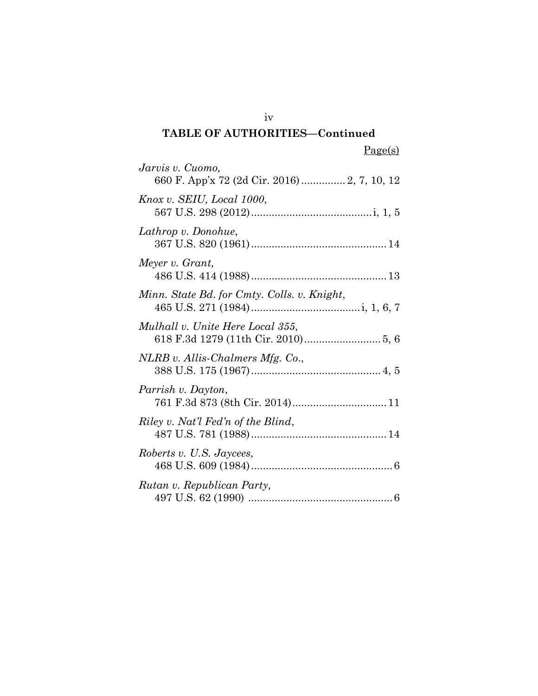## **TABLE OF AUTHORITIES—Continued**

| Jarvis v. Cuomo,<br>660 F. App'x 72 (2d Cir. 2016) 2, 7, 10, 12 |
|-----------------------------------------------------------------|
| Knox v. SEIU, Local 1000,                                       |
| Lathrop v. Donohue,                                             |
| Meyer v. Grant,                                                 |
| Minn. State Bd. for Cmty. Colls. v. Knight,                     |
| Mulhall v. Unite Here Local 355,                                |
| NLRB v. Allis-Chalmers Mfg. Co.,                                |
| Parrish v. Dayton,                                              |
| Riley v. Nat'l Fed'n of the Blind,                              |
| Roberts v. U.S. Jaycees,                                        |
| Rutan v. Republican Party,                                      |

iv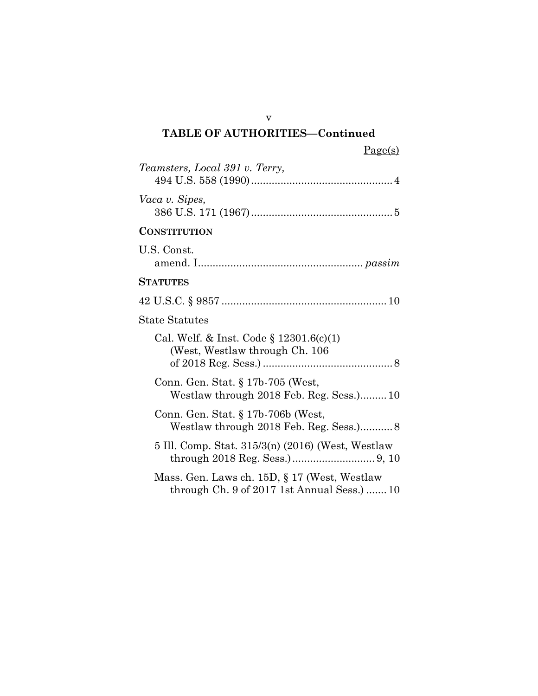### v **TABLE OF AUTHORITIES—Continued**

| Teamsters, Local 391 v. Terry,                                                              |
|---------------------------------------------------------------------------------------------|
| Vaca v. Sipes,                                                                              |
| <b>CONSTITUTION</b>                                                                         |
| U.S. Const.                                                                                 |
| STATUTES                                                                                    |
|                                                                                             |
| <b>State Statutes</b>                                                                       |
| Cal. Welf. & Inst. Code $\S 12301.6(c)(1)$<br>(West, Westlaw through Ch. 106)               |
| Conn. Gen. Stat. § 17b-705 (West,<br>Westlaw through 2018 Feb. Reg. Sess.)10                |
| Conn. Gen. Stat. $\S 17b-706b$ (West,<br>Westlaw through 2018 Feb. Reg. Sess.) 8            |
| 5 Ill. Comp. Stat. 315/3(n) (2016) (West, Westlaw                                           |
| Mass. Gen. Laws ch. 15D, § 17 (West, Westlaw<br>through Ch. 9 of 2017 1st Annual Sess.)  10 |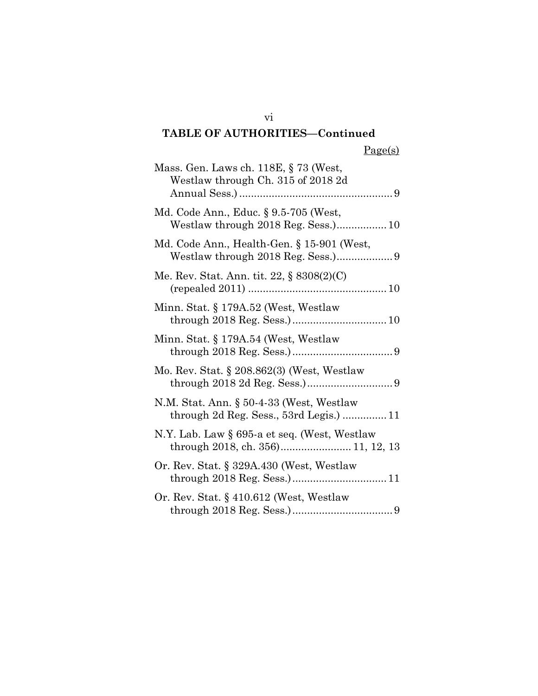# **TABLE OF AUTHORITIES—Continued**

# Page(s)

| Mass. Gen. Laws ch. 118E, § 73 (West,<br>Westlaw through Ch. 315 of 2018 2d         |
|-------------------------------------------------------------------------------------|
| Md. Code Ann., Educ. § 9.5-705 (West,<br>Westlaw through 2018 Reg. Sess.) 10        |
| Md. Code Ann., Health-Gen. § 15-901 (West,                                          |
| Me. Rev. Stat. Ann. tit. 22, § 8308(2)(C)                                           |
| Minn. Stat. § 179A.52 (West, Westlaw                                                |
| Minn. Stat. § 179A.54 (West, Westlaw                                                |
| Mo. Rev. Stat. § 208.862(3) (West, Westlaw                                          |
| N.M. Stat. Ann. § 50-4-33 (West, Westlaw<br>through 2d Reg. Sess., 53rd Legis.)  11 |
| N.Y. Lab. Law § 695-a et seq. (West, Westlaw                                        |
| Or. Rev. Stat. § 329A.430 (West, Westlaw                                            |
| Or. Rev. Stat. $\S$ 410.612 (West, Westlaw                                          |

vi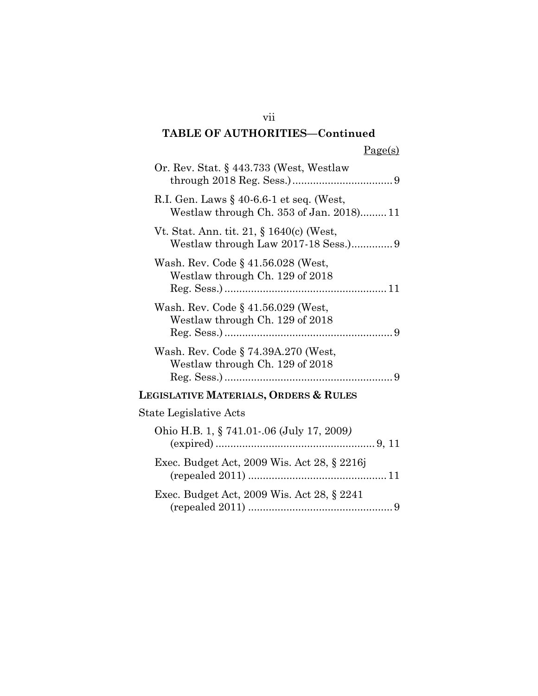# **TABLE OF AUTHORITIES—Continued**

| Or. Rev. Stat. § 443.733 (West, Westlaw                                                 |
|-----------------------------------------------------------------------------------------|
| R.I. Gen. Laws $\S$ 40-6.6-1 et seq. (West,<br>Westlaw through Ch. 353 of Jan. 2018) 11 |
| Vt. Stat. Ann. tit. 21, § 1640(c) (West,<br>Westlaw through Law 2017-18 Sess.)9         |
| Wash. Rev. Code § 41.56.028 (West,<br>Westlaw through Ch. 129 of 2018                   |
| Wash. Rev. Code § 41.56.029 (West,<br>Westlaw through Ch. 129 of 2018<br>$Reg. Sess.$ ) |
| Wash. Rev. Code § 74.39A.270 (West,<br>Westlaw through Ch. 129 of 2018                  |
| Legislative Materials, Orders & Rules                                                   |
| State Legislative Acts                                                                  |
| Ohio H.B. 1, § 741.01-.06 (July 17, 2009)                                               |
| Exec. Budget Act, 2009 Wis. Act 28, § 2216j<br>(repealed $2011$ )                       |
| Exec. Budget Act, 2009 Wis. Act 28, § 2241                                              |

vii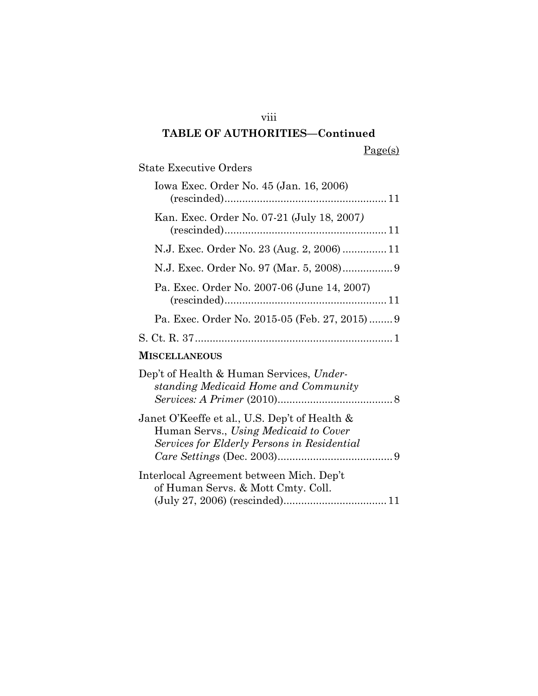### viii

# **TABLE OF AUTHORITIES—Continued**

Page(s)

State Executive Orders

| Iowa Exec. Order No. 45 (Jan. 16, 2006)                                                                                               |  |
|---------------------------------------------------------------------------------------------------------------------------------------|--|
| Kan. Exec. Order No. 07-21 (July 18, 2007)                                                                                            |  |
| N.J. Exec. Order No. 23 (Aug. 2, 2006)  11                                                                                            |  |
|                                                                                                                                       |  |
| Pa. Exec. Order No. 2007-06 (June 14, 2007)                                                                                           |  |
| Pa. Exec. Order No. 2015-05 (Feb. 27, 2015) 9                                                                                         |  |
|                                                                                                                                       |  |
| MISCELLANEOUS                                                                                                                         |  |
| Dep't of Health & Human Services, Under-<br>standing Medicaid Home and Community                                                      |  |
| Janet O'Keeffe et al., U.S. Dep't of Health &<br>Human Servs., Using Medicaid to Cover<br>Services for Elderly Persons in Residential |  |
| Interlocal Agreement between Mich. Dep't<br>of Human Servs. & Mott Cmty. Coll.                                                        |  |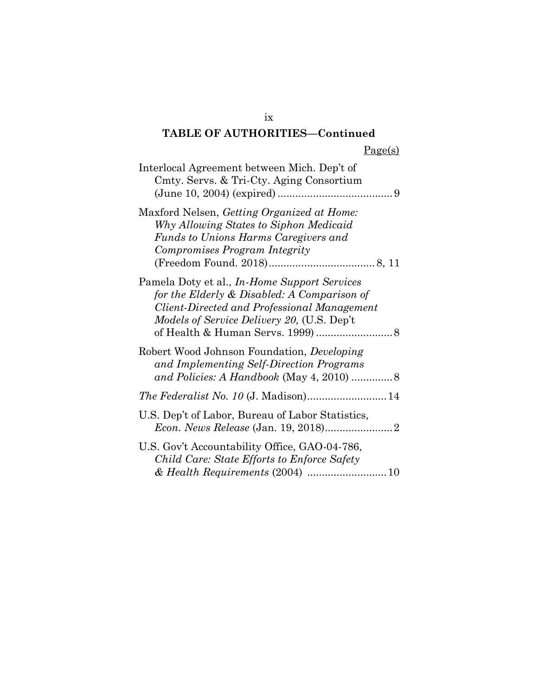# **TABLE OF AUTHORITIES—Continued**

| Interlocal Agreement between Mich. Dep't of<br>Cmty. Servs. & Tri-Cty. Aging Consortium                                                                                                                |
|--------------------------------------------------------------------------------------------------------------------------------------------------------------------------------------------------------|
| Maxford Nelsen, Getting Organized at Home:<br>Why Allowing States to Siphon Medicaid<br>Funds to Unions Harms Caregivers and<br>Compromises Program Integrity                                          |
| Pamela Doty et al., <i>In-Home Support Services</i><br>for the Elderly & Disabled: A Comparison of<br>Client-Directed and Professional Management<br><i>Models of Service Delivery 20, (U.S. Dep't</i> |
| Robert Wood Johnson Foundation, Developing<br>and Implementing Self-Direction Programs                                                                                                                 |
|                                                                                                                                                                                                        |
| U.S. Dep't of Labor, Bureau of Labor Statistics,                                                                                                                                                       |
| U.S. Gov't Accountability Office, GAO-04-786,<br>Child Care: State Efforts to Enforce Safety                                                                                                           |

ix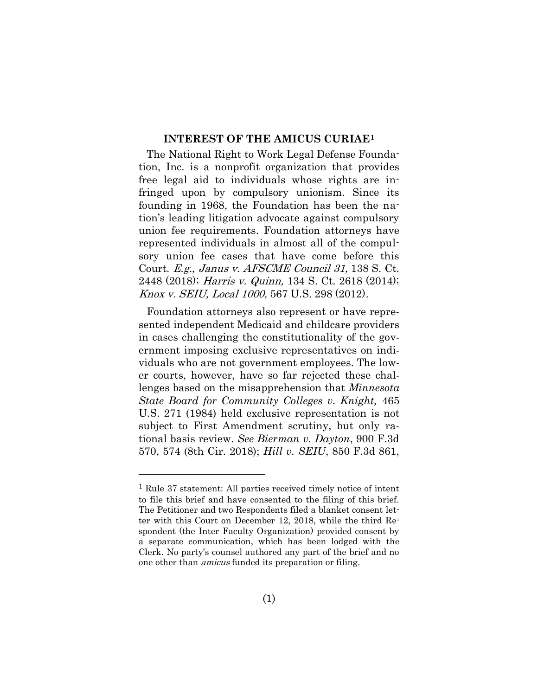#### **INTEREST OF THE AMICUS CURIAE<sup>1</sup>**

The National Right to Work Legal Defense Foundation, Inc. is a nonprofit organization that provides free legal aid to individuals whose rights are infringed upon by compulsory unionism. Since its founding in 1968, the Foundation has been the nation's leading litigation advocate against compulsory union fee requirements. Foundation attorneys have represented individuals in almost all of the compulsory union fee cases that have come before this Court. E.g., Janus v. AFSCME Council 31, 138 S. Ct. 2448 (2018); Harris v. Quinn, 134 S. Ct. 2618 (2014); Knox v. SEIU, Local 1000, 567 U.S. 298 (2012).

Foundation attorneys also represent or have represented independent Medicaid and childcare providers in cases challenging the constitutionality of the government imposing exclusive representatives on individuals who are not government employees. The lower courts, however, have so far rejected these challenges based on the misapprehension that *Minnesota State Board for Community Colleges v. Knight,* 465 U.S. 271 (1984) held exclusive representation is not subject to First Amendment scrutiny, but only rational basis review. *See Bierman v. Dayton*, 900 F.3d 570, 574 (8th Cir. 2018); *Hill v. SEIU*, 850 F.3d 861,

<sup>1</sup> Rule 37 statement: All parties received timely notice of intent to file this brief and have consented to the filing of this brief. The Petitioner and two Respondents filed a blanket consent letter with this Court on December 12, 2018, while the third Respondent (the Inter Faculty Organization) provided consent by a separate communication, which has been lodged with the Clerk. No party's counsel authored any part of the brief and no one other than amicus funded its preparation or filing.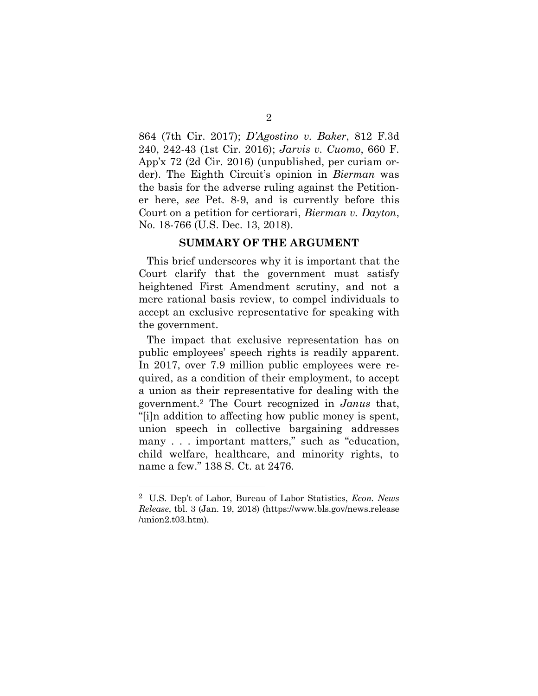864 (7th Cir. 2017); *D'Agostino v. Baker*, 812 F.3d 240, 242-43 (1st Cir. 2016); *Jarvis v. Cuomo*, 660 F. App'x 72 (2d Cir. 2016) (unpublished, per curiam order). The Eighth Circuit's opinion in *Bierman* was the basis for the adverse ruling against the Petitioner here, *see* Pet. 8-9, and is currently before this Court on a petition for certiorari, *Bierman v. Dayton*, No. 18-766 (U.S. Dec. 13, 2018).

#### **SUMMARY OF THE ARGUMENT**

This brief underscores why it is important that the Court clarify that the government must satisfy heightened First Amendment scrutiny, and not a mere rational basis review, to compel individuals to accept an exclusive representative for speaking with the government.

The impact that exclusive representation has on public employees' speech rights is readily apparent. In 2017, over 7.9 million public employees were required, as a condition of their employment, to accept a union as their representative for dealing with the government.<sup>2</sup> The Court recognized in *Janus* that, "[i]n addition to affecting how public money is spent, union speech in collective bargaining addresses many . . . important matters," such as "education, child welfare, healthcare, and minority rights, to name a few." 138 S. Ct. at 2476.

<sup>2</sup> U.S. Dep't of Labor, Bureau of Labor Statistics, *Econ. News Release*, tbl. 3 (Jan. 19, 2018) (https://www.bls.gov/news.release /union2.t03.htm).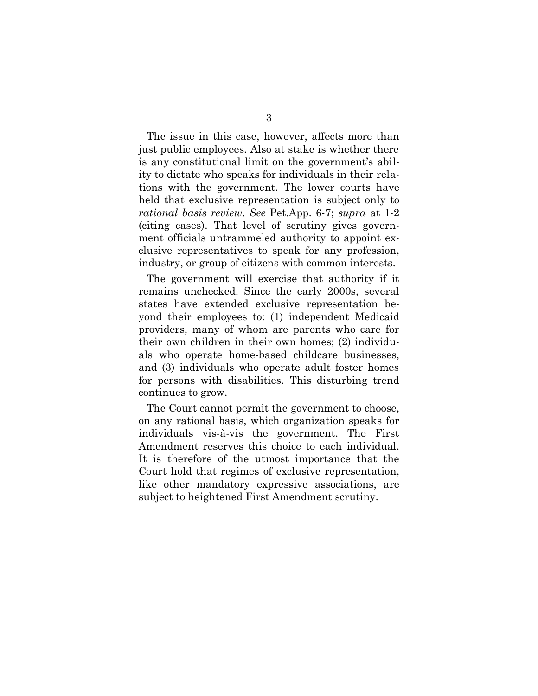The issue in this case, however, affects more than just public employees. Also at stake is whether there is any constitutional limit on the government's ability to dictate who speaks for individuals in their relations with the government. The lower courts have held that exclusive representation is subject only to *rational basis review*. *See* Pet.App. 6-7; *supra* at 1-2 (citing cases). That level of scrutiny gives government officials untrammeled authority to appoint exclusive representatives to speak for any profession, industry, or group of citizens with common interests.

The government will exercise that authority if it remains unchecked. Since the early 2000s, several states have extended exclusive representation beyond their employees to: (1) independent Medicaid providers, many of whom are parents who care for their own children in their own homes; (2) individuals who operate home-based childcare businesses, and (3) individuals who operate adult foster homes for persons with disabilities. This disturbing trend continues to grow.

The Court cannot permit the government to choose, on any rational basis, which organization speaks for individuals vis-à-vis the government. The First Amendment reserves this choice to each individual. It is therefore of the utmost importance that the Court hold that regimes of exclusive representation, like other mandatory expressive associations, are subject to heightened First Amendment scrutiny.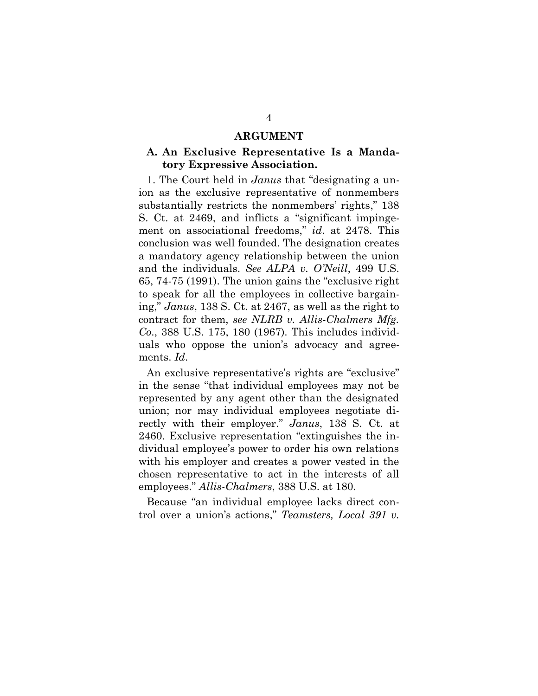#### **ARGUMENT**

#### **A. An Exclusive Representative Is a Mandatory Expressive Association.**

1. The Court held in *Janus* that "designating a union as the exclusive representative of nonmembers substantially restricts the nonmembers' rights," 138 S. Ct. at 2469, and inflicts a "significant impingement on associational freedoms," *id*. at 2478. This conclusion was well founded. The designation creates a mandatory agency relationship between the union and the individuals. *See ALPA v. O'Neill*, 499 U.S. 65, 74-75 (1991). The union gains the "exclusive right to speak for all the employees in collective bargaining," *Janus*, 138 S. Ct. at 2467, as well as the right to contract for them, *see NLRB v. Allis-Chalmers Mfg. Co*., 388 U.S. 175, 180 (1967). This includes individuals who oppose the union's advocacy and agreements. *Id*.

An exclusive representative's rights are "exclusive" in the sense "that individual employees may not be represented by any agent other than the designated union; nor may individual employees negotiate directly with their employer." *Janus*, 138 S. Ct. at 2460. Exclusive representation "extinguishes the individual employee's power to order his own relations with his employer and creates a power vested in the chosen representative to act in the interests of all employees." *Allis-Chalmers*, 388 U.S. at 180.

Because "an individual employee lacks direct control over a union's actions," *Teamsters, Local 391 v.*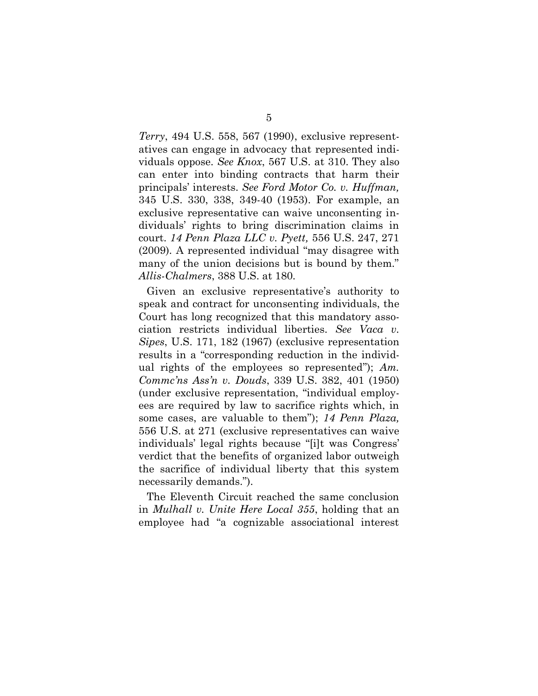*Terry*, 494 U.S. 558, 567 (1990), exclusive representatives can engage in advocacy that represented individuals oppose. *See Knox*, 567 U.S. at 310. They also can enter into binding contracts that harm their principals' interests. *See Ford Motor Co. v. Huffman,*  345 U.S. 330, 338, 349-40 (1953). For example, an exclusive representative can waive unconsenting individuals' rights to bring discrimination claims in court. *14 Penn Plaza LLC v. Pyett,* 556 U.S. 247, 271 (2009). A represented individual "may disagree with many of the union decisions but is bound by them." *Allis-Chalmers*, 388 U.S. at 180.

Given an exclusive representative's authority to speak and contract for unconsenting individuals, the Court has long recognized that this mandatory association restricts individual liberties. *See Vaca v. Sipes*, U.S. 171, 182 (1967) (exclusive representation results in a "corresponding reduction in the individual rights of the employees so represented"); *Am. Commc'ns Ass'n v. Douds*, 339 U.S. 382, 401 (1950) (under exclusive representation, "individual employees are required by law to sacrifice rights which, in some cases, are valuable to them"); *14 Penn Plaza,* 556 U.S. at 271 (exclusive representatives can waive individuals' legal rights because "[i]t was Congress' verdict that the benefits of organized labor outweigh the sacrifice of individual liberty that this system necessarily demands.").

The Eleventh Circuit reached the same conclusion in *Mulhall v. Unite Here Local 355*, holding that an employee had "a cognizable associational interest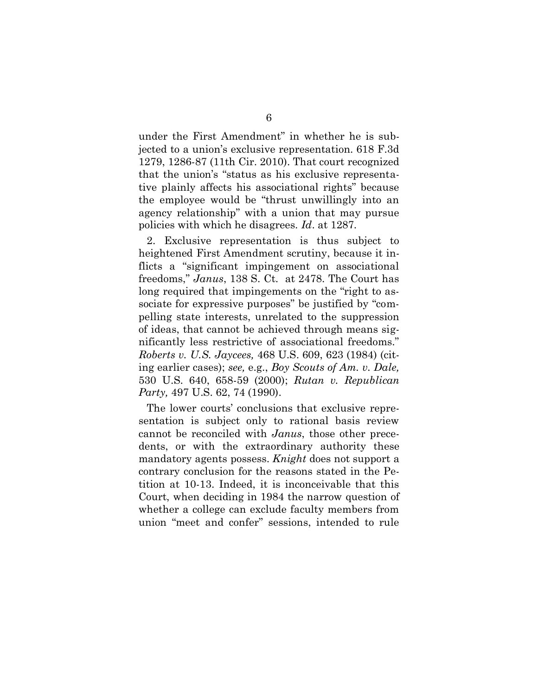under the First Amendment" in whether he is subjected to a union's exclusive representation. 618 F.3d 1279, 1286-87 (11th Cir. 2010). That court recognized that the union's "status as his exclusive representative plainly affects his associational rights" because the employee would be "thrust unwillingly into an agency relationship" with a union that may pursue policies with which he disagrees. *Id*. at 1287.

2. Exclusive representation is thus subject to heightened First Amendment scrutiny, because it inflicts a "significant impingement on associational freedoms," *Janus*, 138 S. Ct. at 2478. The Court has long required that impingements on the "right to associate for expressive purposes" be justified by "compelling state interests, unrelated to the suppression of ideas, that cannot be achieved through means significantly less restrictive of associational freedoms." *Roberts v. U.S. Jaycees,* 468 U.S. 609, 623 (1984) (citing earlier cases); *see,* e.g., *Boy Scouts of Am. v. Dale,*  530 U.S. 640, 658-59 (2000); *Rutan v. Republican Party,* 497 U.S. 62, 74 (1990).

The lower courts' conclusions that exclusive representation is subject only to rational basis review cannot be reconciled with *Janus*, those other precedents, or with the extraordinary authority these mandatory agents possess. *Knight* does not support a contrary conclusion for the reasons stated in the Petition at 10-13. Indeed, it is inconceivable that this Court, when deciding in 1984 the narrow question of whether a college can exclude faculty members from union "meet and confer" sessions, intended to rule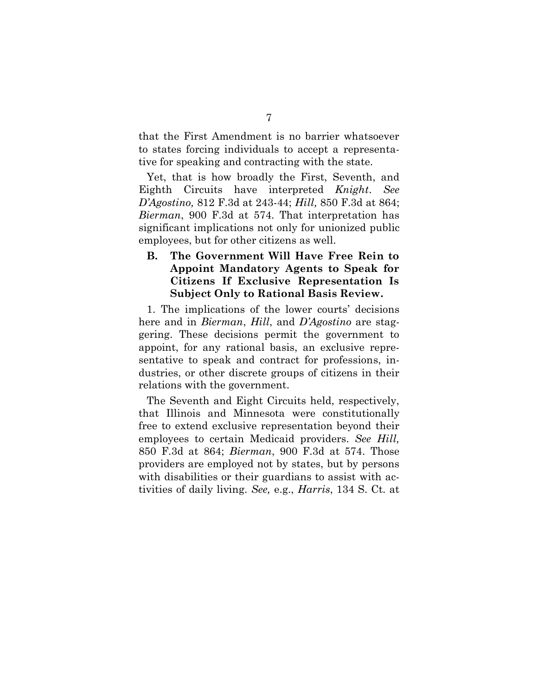that the First Amendment is no barrier whatsoever to states forcing individuals to accept a representative for speaking and contracting with the state.

Yet, that is how broadly the First, Seventh, and Eighth Circuits have interpreted *Knight*. *See D'Agostino,* 812 F.3d at 243-44; *Hill,* 850 F.3d at 864; *Bierman*, 900 F.3d at 574. That interpretation has significant implications not only for unionized public employees, but for other citizens as well.

### **B. The Government Will Have Free Rein to Appoint Mandatory Agents to Speak for Citizens If Exclusive Representation Is Subject Only to Rational Basis Review.**

1. The implications of the lower courts' decisions here and in *Bierman*, *Hill*, and *D'Agostino* are staggering. These decisions permit the government to appoint, for any rational basis, an exclusive representative to speak and contract for professions, industries, or other discrete groups of citizens in their relations with the government.

The Seventh and Eight Circuits held, respectively, that Illinois and Minnesota were constitutionally free to extend exclusive representation beyond their employees to certain Medicaid providers. *See Hill,*  850 F.3d at 864; *Bierman*, 900 F.3d at 574. Those providers are employed not by states, but by persons with disabilities or their guardians to assist with activities of daily living. *See,* e.g., *Harris*, 134 S. Ct. at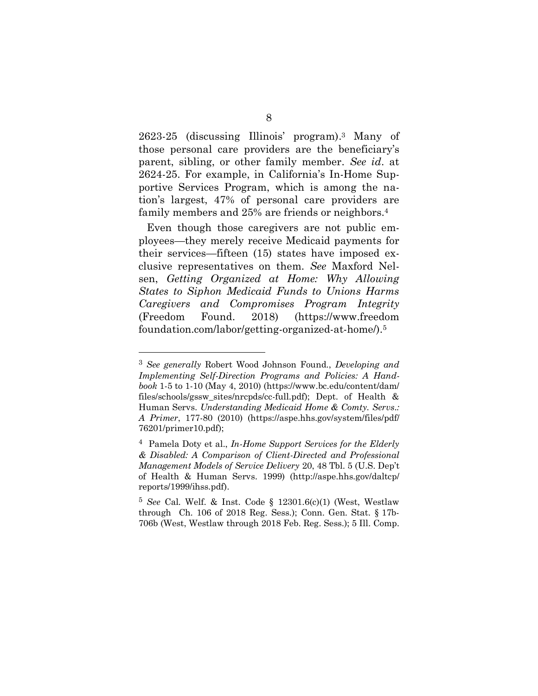2623-25 (discussing Illinois' program). <sup>3</sup> Many of those personal care providers are the beneficiary's parent, sibling, or other family member. *See id*. at 2624-25. For example, in California's In-Home Supportive Services Program, which is among the nation's largest, 47% of personal care providers are family members and 25% are friends or neighbors. 4

Even though those caregivers are not public employees—they merely receive Medicaid payments for their services—fifteen (15) states have imposed exclusive representatives on them. *See* Maxford Nelsen, *Getting Organized at Home: Why Allowing States to Siphon Medicaid Funds to Unions Harms Caregivers and Compromises Program Integrity* (Freedom Found. 2018) (https://www.freedom foundation.com/labor/getting-organized-at-home/).<sup>5</sup>

<sup>3</sup> *See generally* Robert Wood Johnson Found., *Developing and Implementing Self-Direction Programs and Policies: A Handbook* 1-5 to 1-10 (May 4, 2010) (https://www.bc.edu/content/dam/ files/schools/gssw\_sites/nrcpds/cc-full.pdf); Dept. of Health & Human Servs. *Understanding Medicaid Home & Comty. Servs.: A Primer*, 177-80 (2010) (https://aspe.hhs.gov/system/files/pdf/ 76201/primer10.pdf);

<sup>4</sup> Pamela Doty et al., *In-Home Support Services for the Elderly & Disabled: A Comparison of Client-Directed and Professional Management Models of Service Delivery* 20, 48 Tbl. 5 (U.S. Dep't of Health & Human Servs. 1999) (http://aspe.hhs.gov/daltcp/ reports/1999/ihss.pdf).

<sup>5</sup> *See* Cal. Welf. & Inst. Code § 12301.6(c)(1) (West, Westlaw through Ch. 106 of 2018 Reg. Sess.); Conn. Gen. Stat. § 17b-706b (West, Westlaw through 2018 Feb. Reg. Sess.); 5 Ill. Comp.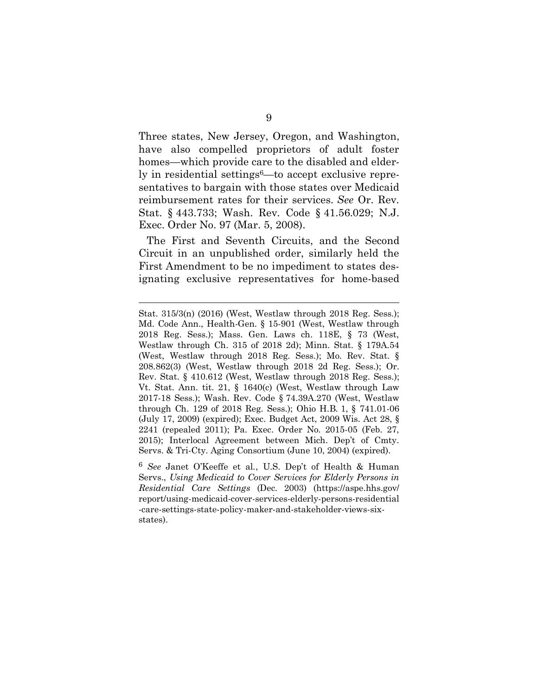Three states, New Jersey, Oregon, and Washington, have also compelled proprietors of adult foster homes—which provide care to the disabled and elderly in residential settings<sup>6—to</sup> accept exclusive representatives to bargain with those states over Medicaid reimbursement rates for their services. *See* Or. Rev*.* Stat. § 443.733; Wash. Rev*.* Code § 41.56.029; N.J. Exec. Order No. 97 (Mar. 5, 2008).

The First and Seventh Circuits, and the Second Circuit in an unpublished order, similarly held the First Amendment to be no impediment to states designating exclusive representatives for home-based

Stat. 315/3(n) (2016) (West, Westlaw through 2018 Reg. Sess.); Md. Code Ann., Health-Gen. § 15-901 (West, Westlaw through 2018 Reg. Sess.); Mass. Gen. Laws ch. 118E, § 73 (West, Westlaw through Ch. 315 of 2018 2d); Minn. Stat. § 179A.54 (West, Westlaw through 2018 Reg. Sess.); Mo. Rev. Stat. § 208.862(3) (West, Westlaw through 2018 2d Reg. Sess.); Or. Rev. Stat. § 410.612 (West, Westlaw through 2018 Reg. Sess.); Vt. Stat. Ann. tit. 21, § 1640(c) (West, Westlaw through Law 2017-18 Sess.); Wash. Rev. Code § 74.39A.270 (West, Westlaw through Ch. 129 of 2018 Reg. Sess.); Ohio H.B. 1, § 741.01-06 (July 17, 2009) (expired); Exec. Budget Act, 2009 Wis. Act 28, § 2241 (repealed 2011); Pa. Exec. Order No. 2015-05 (Feb. 27, 2015); Interlocal Agreement between Mich. Dep't of Cmty. Servs. & Tri-Cty. Aging Consortium (June 10, 2004) (expired).

<sup>6</sup> *See* Janet O'Keeffe et al*.*, U.S. Dep't of Health & Human Servs., *Using Medicaid to Cover Services for Elderly Persons in Residential Care Settings* (Dec. 2003) (https://aspe.hhs.gov/ report/using-medicaid-cover-services-elderly-persons-residential -care-settings-state-policy-maker-and-stakeholder-views-sixstates).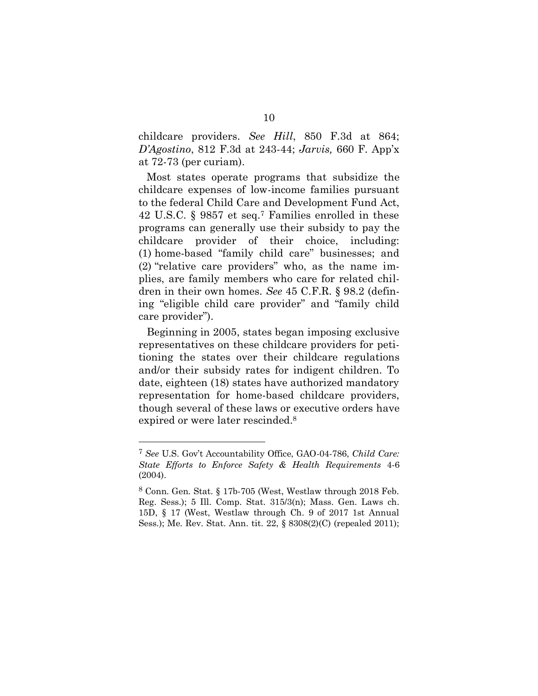childcare providers. *See Hill*, 850 F.3d at 864; *D'Agostino*, 812 F.3d at 243-44; *Jarvis,* 660 F. App'x at 72-73 (per curiam).

Most states operate programs that subsidize the childcare expenses of low-income families pursuant to the federal Child Care and Development Fund Act, 42 U.S.C. § 9857 et seq. <sup>7</sup> Families enrolled in these programs can generally use their subsidy to pay the childcare provider of their choice, including: (1) home-based "family child care" businesses; and (2) "relative care providers" who, as the name implies, are family members who care for related children in their own homes. *See* 45 C.F.R. § 98.2 (defining "eligible child care provider" and "family child care provider").

Beginning in 2005, states began imposing exclusive representatives on these childcare providers for petitioning the states over their childcare regulations and/or their subsidy rates for indigent children. To date, eighteen (18) states have authorized mandatory representation for home-based childcare providers, though several of these laws or executive orders have expired or were later rescinded. 8

<sup>7</sup> *See* U.S. Gov't Accountability Office, GAO-04-786, *Child Care: State Efforts to Enforce Safety & Health Requirements* 4-6 (2004).

<sup>8</sup> Conn. Gen. Stat. § 17b-705 (West, Westlaw through 2018 Feb. Reg. Sess.); 5 Ill. Comp. Stat. 315/3(n); Mass. Gen. Laws ch. 15D, § 17 (West, Westlaw through Ch. 9 of 2017 1st Annual Sess.); Me. Rev. Stat. Ann. tit. 22, § 8308(2)(C) (repealed 2011);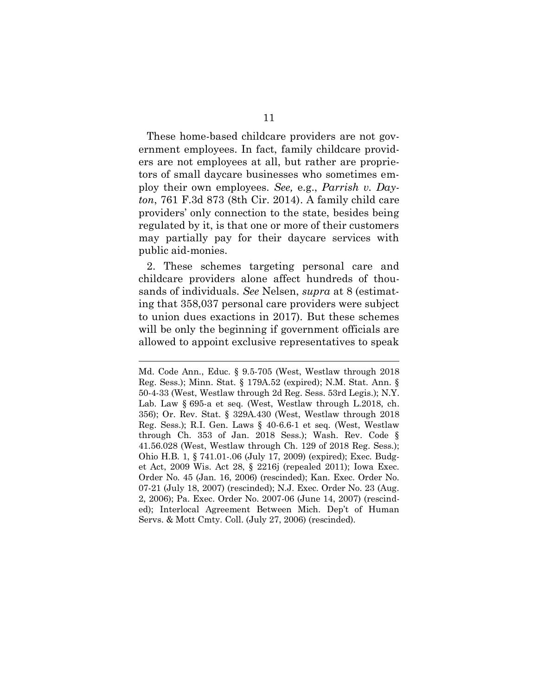These home-based childcare providers are not government employees. In fact, family childcare providers are not employees at all, but rather are proprietors of small daycare businesses who sometimes employ their own employees. *See,* e.g., *Parrish v. Dayton*, 761 F.3d 873 (8th Cir. 2014). A family child care providers' only connection to the state, besides being regulated by it, is that one or more of their customers may partially pay for their daycare services with public aid-monies.

2. These schemes targeting personal care and childcare providers alone affect hundreds of thousands of individuals. *See* Nelsen, *supra* at 8 (estimating that 358,037 personal care providers were subject to union dues exactions in 2017). But these schemes will be only the beginning if government officials are allowed to appoint exclusive representatives to speak

 $\overline{a}$ 

Md. Code Ann., Educ. § 9.5-705 (West, Westlaw through 2018 Reg. Sess.); Minn. Stat. § 179A.52 (expired); N.M. Stat. Ann. § 50-4-33 (West, Westlaw through 2d Reg. Sess. 53rd Legis.); N.Y. Lab. Law § 695-a et seq. (West, Westlaw through L.2018, ch. 356); Or. Rev. Stat. § 329A.430 (West, Westlaw through 2018 Reg. Sess.); R.I. Gen. Laws § 40-6.6-1 et seq. (West, Westlaw through Ch. 353 of Jan. 2018 Sess.); Wash. Rev. Code § 41.56.028 (West, Westlaw through Ch. 129 of 2018 Reg. Sess.); Ohio H.B. 1, § 741.01-.06 (July 17, 2009) (expired); Exec. Budget Act, 2009 Wis. Act 28, § 2216j (repealed 2011); Iowa Exec. Order No. 45 (Jan. 16, 2006) (rescinded); Kan. Exec. Order No. 07-21 (July 18, 2007) (rescinded); N.J. Exec. Order No. 23 (Aug. 2, 2006); Pa. Exec. Order No. 2007-06 (June 14, 2007) (rescinded); Interlocal Agreement Between Mich. Dep't of Human Servs. & Mott Cmty. Coll. (July 27, 2006) (rescinded).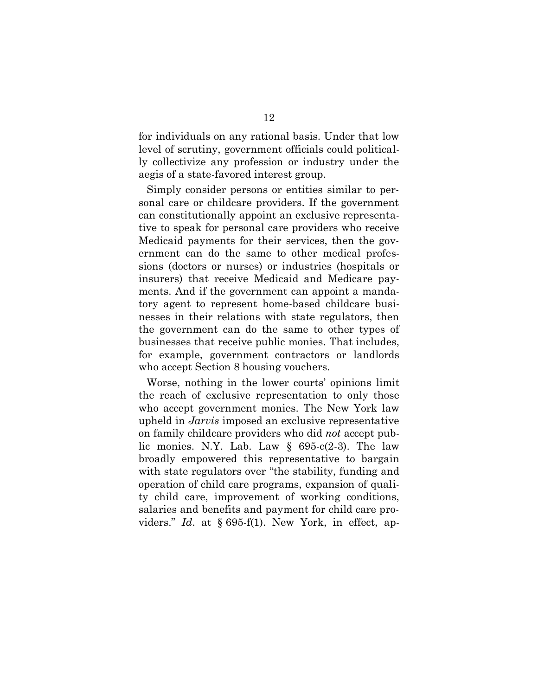for individuals on any rational basis. Under that low level of scrutiny, government officials could politically collectivize any profession or industry under the aegis of a state-favored interest group.

Simply consider persons or entities similar to personal care or childcare providers. If the government can constitutionally appoint an exclusive representative to speak for personal care providers who receive Medicaid payments for their services, then the government can do the same to other medical professions (doctors or nurses) or industries (hospitals or insurers) that receive Medicaid and Medicare payments. And if the government can appoint a mandatory agent to represent home-based childcare businesses in their relations with state regulators, then the government can do the same to other types of businesses that receive public monies. That includes, for example, government contractors or landlords who accept Section 8 housing vouchers.

Worse, nothing in the lower courts' opinions limit the reach of exclusive representation to only those who accept government monies. The New York law upheld in *Jarvis* imposed an exclusive representative on family childcare providers who did *not* accept public monies. N.Y. Lab. Law § 695-c(2-3). The law broadly empowered this representative to bargain with state regulators over "the stability, funding and operation of child care programs, expansion of quality child care, improvement of working conditions, salaries and benefits and payment for child care providers." *Id*. at § 695-f(1). New York, in effect, ap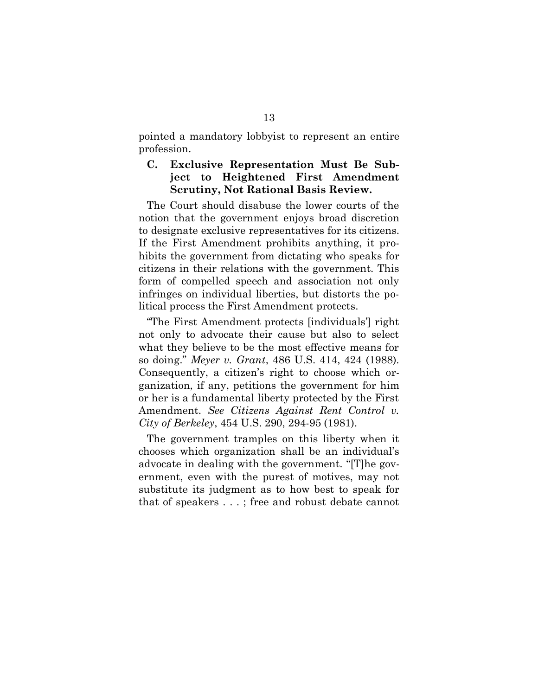pointed a mandatory lobbyist to represent an entire profession.

#### **C. Exclusive Representation Must Be Subject to Heightened First Amendment Scrutiny, Not Rational Basis Review.**

The Court should disabuse the lower courts of the notion that the government enjoys broad discretion to designate exclusive representatives for its citizens. If the First Amendment prohibits anything, it prohibits the government from dictating who speaks for citizens in their relations with the government. This form of compelled speech and association not only infringes on individual liberties, but distorts the political process the First Amendment protects.

"The First Amendment protects [individuals'] right not only to advocate their cause but also to select what they believe to be the most effective means for so doing." *Meyer v. Grant*, 486 U.S. 414, 424 (1988). Consequently, a citizen's right to choose which organization, if any, petitions the government for him or her is a fundamental liberty protected by the First Amendment. *See Citizens Against Rent Control v. City of Berkeley*, 454 U.S. 290, 294-95 (1981).

The government tramples on this liberty when it chooses which organization shall be an individual's advocate in dealing with the government. "[T]he government, even with the purest of motives, may not substitute its judgment as to how best to speak for that of speakers . . . ; free and robust debate cannot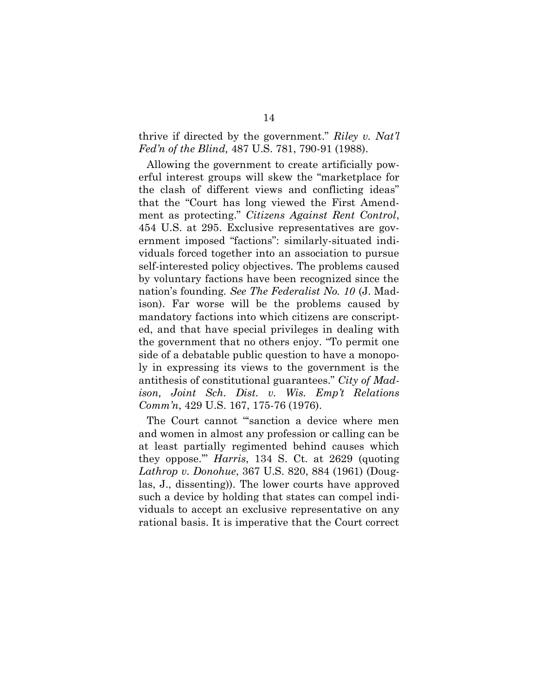#### thrive if directed by the government." *Riley v. Nat'l Fed'n of the Blind,* 487 U.S. 781, 790-91 (1988).

Allowing the government to create artificially powerful interest groups will skew the "marketplace for the clash of different views and conflicting ideas" that the "Court has long viewed the First Amendment as protecting." *Citizens Against Rent Control*, 454 U.S. at 295. Exclusive representatives are government imposed "factions": similarly-situated individuals forced together into an association to pursue self-interested policy objectives. The problems caused by voluntary factions have been recognized since the nation's founding. *See The Federalist No. 10* (J. Madison). Far worse will be the problems caused by mandatory factions into which citizens are conscripted, and that have special privileges in dealing with the government that no others enjoy. "To permit one side of a debatable public question to have a monopoly in expressing its views to the government is the antithesis of constitutional guarantees." *City of Madison, Joint Sch. Dist. v. Wis. Emp't Relations Comm'n*, 429 U.S. 167, 175-76 (1976).

The Court cannot "sanction a device where men and women in almost any profession or calling can be at least partially regimented behind causes which they oppose.'" *Harris*, 134 S. Ct. at 2629 (quoting *Lathrop v. Donohue*, 367 U.S. 820, 884 (1961) (Douglas, J., dissenting)). The lower courts have approved such a device by holding that states can compel individuals to accept an exclusive representative on any rational basis. It is imperative that the Court correct